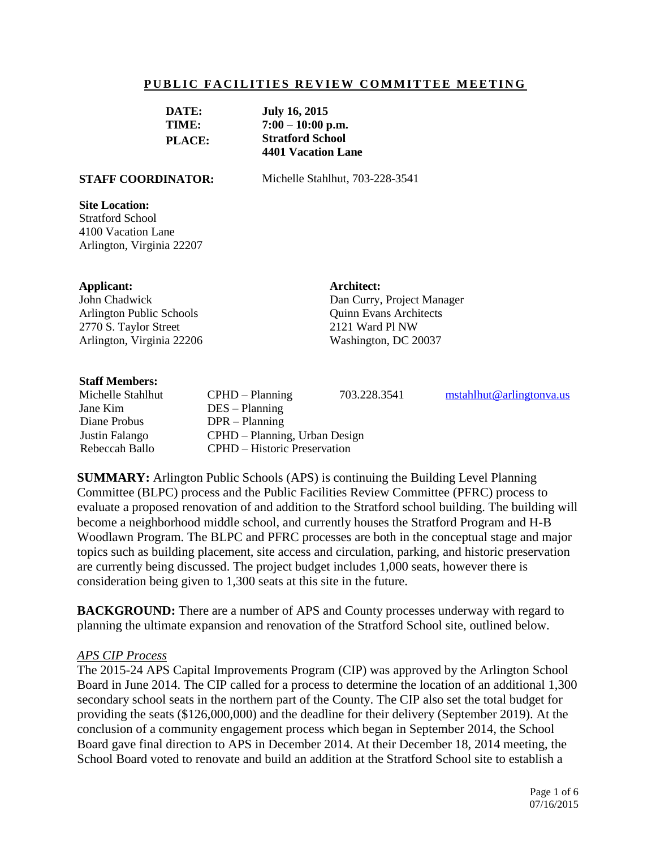#### **PUBLIC FACILITIES REVIEW COMMITTEE MEETING**

| DATE:         | <b>July 16, 2015</b>    |
|---------------|-------------------------|
| TIME:         | $7:00 - 10:00$ p.m.     |
| <b>PLACE:</b> | <b>Stratford School</b> |
|               | 4401 Vacation Lane      |

**STAFF COORDINATOR:** Michelle Stahlhut, 703-228-3541

#### **Site Location:**

Stratford School 4100 Vacation Lane Arlington, Virginia 22207

#### **Applicant:**

John Chadwick Arlington Public Schools 2770 S. Taylor Street Arlington, Virginia 22206 **Architect:** Dan Curry, Project Manager Quinn Evans Architects 2121 Ward Pl NW Washington, DC 20037

#### **Staff Members:**

Jane Kim DES – Planning Diane Probus DPR – Planning

Michelle Stahlhut CPHD – Planning 703.228.3541 [mstahlhut@arlingtonva.us](mailto:mstahlhut@arlingtonva.us) Justin Falango CPHD – Planning, Urban Design Rebeccah Ballo CPHD – Historic Preservation

**SUMMARY:** Arlington Public Schools (APS) is continuing the Building Level Planning Committee (BLPC) process and the Public Facilities Review Committee (PFRC) process to evaluate a proposed renovation of and addition to the Stratford school building. The building will become a neighborhood middle school, and currently houses the Stratford Program and H-B Woodlawn Program. The BLPC and PFRC processes are both in the conceptual stage and major topics such as building placement, site access and circulation, parking, and historic preservation are currently being discussed. The project budget includes 1,000 seats, however there is consideration being given to 1,300 seats at this site in the future.

**BACKGROUND:** There are a number of APS and County processes underway with regard to planning the ultimate expansion and renovation of the Stratford School site, outlined below.

#### *APS CIP Process*

The 2015-24 APS Capital Improvements Program (CIP) was approved by the Arlington School Board in June 2014. The CIP called for a process to determine the location of an additional 1,300 secondary school seats in the northern part of the County. The CIP also set the total budget for providing the seats (\$126,000,000) and the deadline for their delivery (September 2019). At the conclusion of a community engagement process which began in September 2014, the School Board gave final direction to APS in December 2014. At their December 18, 2014 meeting, the School Board voted to renovate and build an addition at the Stratford School site to establish a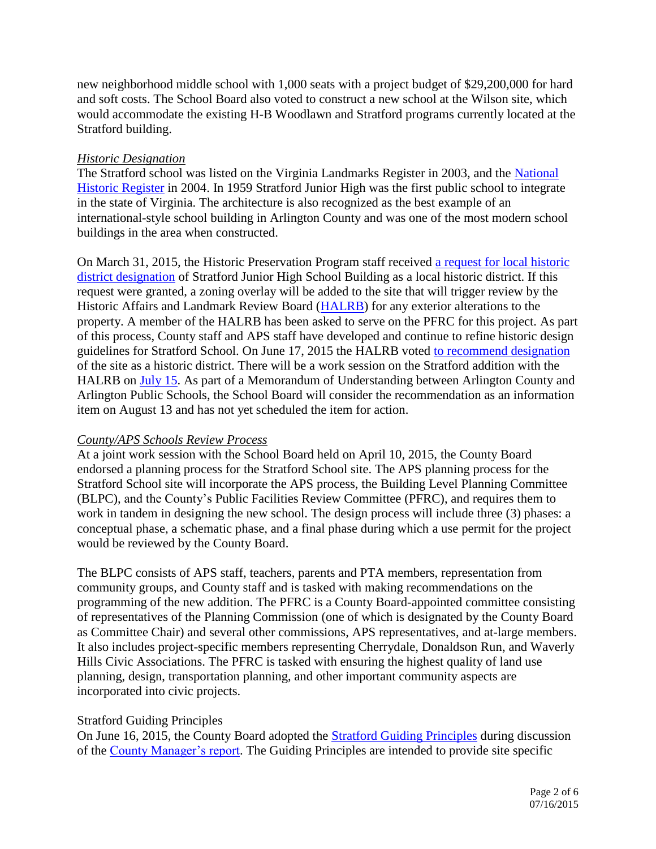new neighborhood middle school with 1,000 seats with a project budget of \$29,200,000 for hard and soft costs. The School Board also voted to construct a new school at the Wilson site, which would accommodate the existing H-B Woodlawn and Stratford programs currently located at the Stratford building.

# *Historic Designation*

The Stratford school was listed on the Virginia Landmarks Register in 2003, and the National [Historic Register](http://arlingtonva.s3.amazonaws.com/wp-content/uploads/sites/5/2013/11/Stratford-Junior-High-School-National-Register-PDF.pdf) in 2004. In 1959 Stratford Junior High was the first public school to integrate in the state of Virginia. The architecture is also recognized as the best example of an international-style school building in Arlington County and was one of the most modern school buildings in the area when constructed.

On March 31, 2015, the Historic Preservation Program staff received [a request for local historic](http://arlingtonva.s3.amazonaws.com/wp-content/uploads/sites/5/2013/11/Stratford-Designation-Study-Request-3-15.pdf)  [district designation](http://arlingtonva.s3.amazonaws.com/wp-content/uploads/sites/5/2013/11/Stratford-Designation-Study-Request-3-15.pdf) of Stratford Junior High School Building as a local historic district. If this request were granted, a zoning overlay will be added to the site that will trigger review by the Historic Affairs and Landmark Review Board [\(HALRB\)](http://commissions.arlingtonva.us/historical-affairs-landmark-review-board/) for any exterior alterations to the property. A member of the HALRB has been asked to serve on the PFRC for this project. As part of this process, County staff and APS staff have developed and continue to refine historic design guidelines for Stratford School. On June 17, 2015 the HALRB voted [to recommend designation](http://arlingtonva.s3.amazonaws.com/wp-content/uploads/sites/5/2013/12/HALRB_06.June-2015.Minutes.pdf) of the site as a historic district. There will be a work session on the Stratford addition with the HALRB on [July 15.](http://arlingtonva.s3.amazonaws.com/wp-content/uploads/sites/5/2013/12/07.July_.2015.HALRB-AGENDA.pdf) As part of a Memorandum of Understanding between Arlington County and Arlington Public Schools, the School Board will consider the recommendation as an information item on August 13 and has not yet scheduled the item for action.

# *County/APS Schools Review Process*

At a joint work session with the School Board held on April 10, 2015, the County Board endorsed a planning process for the Stratford School site. The APS planning process for the Stratford School site will incorporate the APS process, the Building Level Planning Committee (BLPC), and the County's Public Facilities Review Committee (PFRC), and requires them to work in tandem in designing the new school. The design process will include three (3) phases: a conceptual phase, a schematic phase, and a final phase during which a use permit for the project would be reviewed by the County Board.

The BLPC consists of APS staff, teachers, parents and PTA members, representation from community groups, and County staff and is tasked with making recommendations on the programming of the new addition. The PFRC is a County Board-appointed committee consisting of representatives of the Planning Commission (one of which is designated by the County Board as Committee Chair) and several other commissions, APS representatives, and at-large members. It also includes project-specific members representing Cherrydale, Donaldson Run, and Waverly Hills Civic Associations. The PFRC is tasked with ensuring the highest quality of land use planning, design, transportation planning, and other important community aspects are incorporated into civic projects.

# Stratford Guiding Principles

On June 16, 2015, the County Board adopted the **Stratford Guiding Principles** during discussion of the [County Manager's report.](http://arlington.granicus.com/GeneratedAgendaViewer.php?view_id=2&clip_id=2933) The Guiding Principles are intended to provide site specific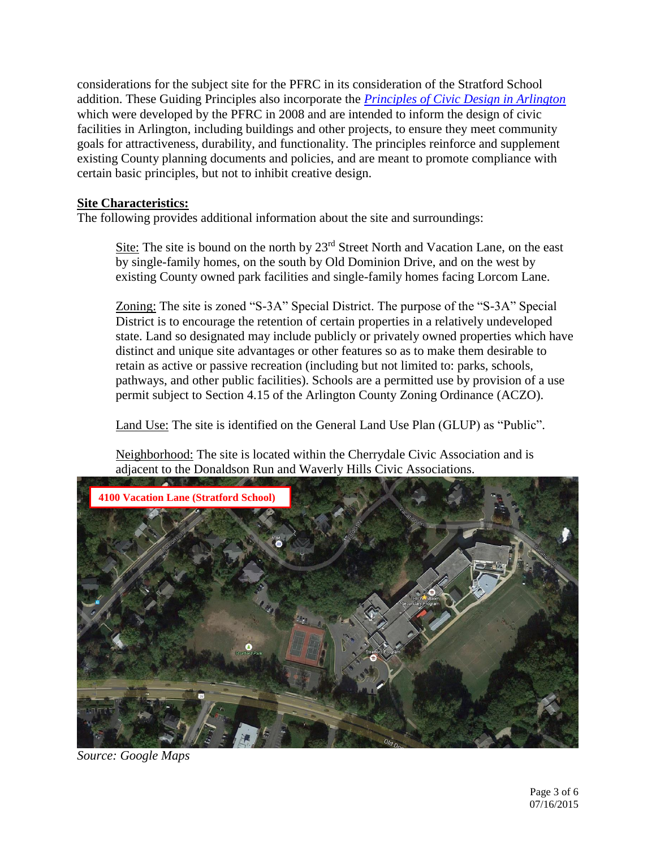considerations for the subject site for the PFRC in its consideration of the Stratford School addition. These Guiding Principles also incorporate the *[Principles of Civic Design in Arlington](http://commissions.arlingtonva.us/planning-commission/public-facilities-review-committee-pfrc/pfrc-principles-civic-design/)* which were developed by the PFRC in 2008 and are intended to inform the design of civic facilities in Arlington, including buildings and other projects, to ensure they meet community goals for attractiveness, durability, and functionality. The principles reinforce and supplement existing County planning documents and policies, and are meant to promote compliance with certain basic principles, but not to inhibit creative design.

## **Site Characteristics:**

The following provides additional information about the site and surroundings:

Site: The site is bound on the north by  $23<sup>rd</sup>$  Street North and Vacation Lane, on the east by single-family homes, on the south by Old Dominion Drive, and on the west by existing County owned park facilities and single-family homes facing Lorcom Lane.

Zoning: The site is zoned "S-3A" Special District. The purpose of the "S-3A" Special District is to encourage the retention of certain properties in a relatively undeveloped state. Land so designated may include publicly or privately owned properties which have distinct and unique site advantages or other features so as to make them desirable to retain as active or passive recreation (including but not limited to: parks, schools, pathways, and other public facilities). Schools are a permitted use by provision of a use permit subject to Section 4.15 of the Arlington County Zoning Ordinance (ACZO).

Land Use: The site is identified on the General Land Use Plan (GLUP) as "Public".

Neighborhood: The site is located within the Cherrydale Civic Association and is adjacent to the Donaldson Run and Waverly Hills Civic Associations.



*Source: Google Maps*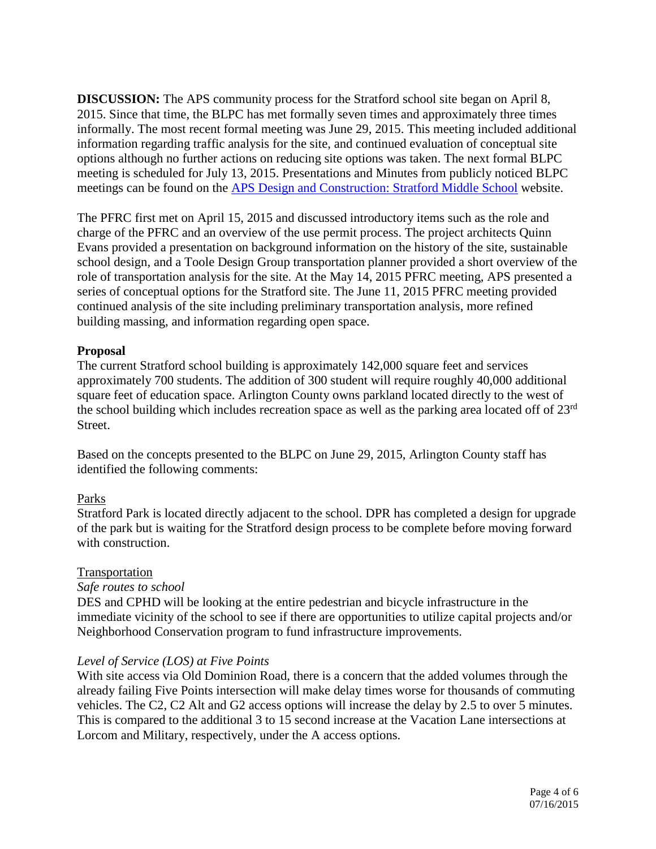**DISCUSSION:** The APS community process for the Stratford school site began on April 8, 2015. Since that time, the BLPC has met formally seven times and approximately three times informally. The most recent formal meeting was June 29, 2015. This meeting included additional information regarding traffic analysis for the site, and continued evaluation of conceptual site options although no further actions on reducing site options was taken. The next formal BLPC meeting is scheduled for July 13, 2015. Presentations and Minutes from publicly noticed BLPC meetings can be found on the [APS Design and Construction: Stratford Middle School](http://www.apsva.us/Page/29586) website.

The PFRC first met on April 15, 2015 and discussed introductory items such as the role and charge of the PFRC and an overview of the use permit process. The project architects Quinn Evans provided a presentation on background information on the history of the site, sustainable school design, and a Toole Design Group transportation planner provided a short overview of the role of transportation analysis for the site. At the May 14, 2015 PFRC meeting, APS presented a series of conceptual options for the Stratford site. The June 11, 2015 PFRC meeting provided continued analysis of the site including preliminary transportation analysis, more refined building massing, and information regarding open space.

## **Proposal**

The current Stratford school building is approximately 142,000 square feet and services approximately 700 students. The addition of 300 student will require roughly 40,000 additional square feet of education space. Arlington County owns parkland located directly to the west of the school building which includes recreation space as well as the parking area located off of 23rd Street.

Based on the concepts presented to the BLPC on June 29, 2015, Arlington County staff has identified the following comments:

# Parks

Stratford Park is located directly adjacent to the school. DPR has completed a design for upgrade of the park but is waiting for the Stratford design process to be complete before moving forward with construction.

## Transportation

## *Safe routes to school*

DES and CPHD will be looking at the entire pedestrian and bicycle infrastructure in the immediate vicinity of the school to see if there are opportunities to utilize capital projects and/or Neighborhood Conservation program to fund infrastructure improvements.

## *Level of Service (LOS) at Five Points*

With site access via Old Dominion Road, there is a concern that the added volumes through the already failing Five Points intersection will make delay times worse for thousands of commuting vehicles. The C2, C2 Alt and G2 access options will increase the delay by 2.5 to over 5 minutes. This is compared to the additional 3 to 15 second increase at the Vacation Lane intersections at Lorcom and Military, respectively, under the A access options.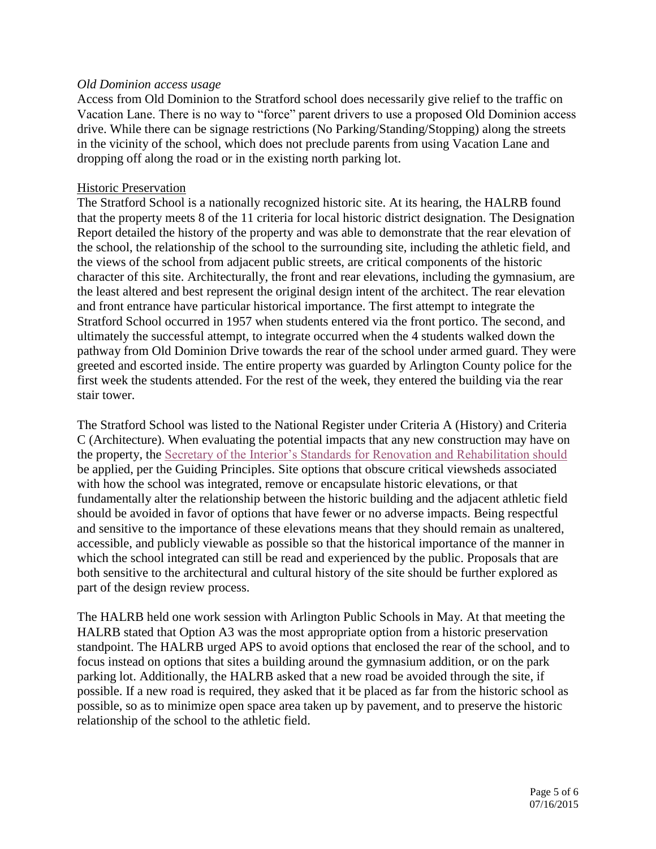## *Old Dominion access usage*

Access from Old Dominion to the Stratford school does necessarily give relief to the traffic on Vacation Lane. There is no way to "force" parent drivers to use a proposed Old Dominion access drive. While there can be signage restrictions (No Parking/Standing/Stopping) along the streets in the vicinity of the school, which does not preclude parents from using Vacation Lane and dropping off along the road or in the existing north parking lot.

#### Historic Preservation

The Stratford School is a nationally recognized historic site. At its hearing, the HALRB found that the property meets 8 of the 11 criteria for local historic district designation. The Designation Report detailed the history of the property and was able to demonstrate that the rear elevation of the school, the relationship of the school to the surrounding site, including the athletic field, and the views of the school from adjacent public streets, are critical components of the historic character of this site. Architecturally, the front and rear elevations, including the gymnasium, are the least altered and best represent the original design intent of the architect. The rear elevation and front entrance have particular historical importance. The first attempt to integrate the Stratford School occurred in 1957 when students entered via the front portico. The second, and ultimately the successful attempt, to integrate occurred when the 4 students walked down the pathway from Old Dominion Drive towards the rear of the school under armed guard. They were greeted and escorted inside. The entire property was guarded by Arlington County police for the first week the students attended. For the rest of the week, they entered the building via the rear stair tower.

The Stratford School was listed to the National Register under Criteria A (History) and Criteria C (Architecture). When evaluating the potential impacts that any new construction may have on the property, the [Secretary of the Interior's Standards for Renovation and Rehabilitation should](http://www.nps.gov/tps/standards/four-treatments/treatment-rehabilitation.htm) be applied, per the Guiding Principles. Site options that obscure critical viewsheds associated with how the school was integrated, remove or encapsulate historic elevations, or that fundamentally alter the relationship between the historic building and the adjacent athletic field should be avoided in favor of options that have fewer or no adverse impacts. Being respectful and sensitive to the importance of these elevations means that they should remain as unaltered, accessible, and publicly viewable as possible so that the historical importance of the manner in which the school integrated can still be read and experienced by the public. Proposals that are both sensitive to the architectural and cultural history of the site should be further explored as part of the design review process.

The HALRB held one work session with Arlington Public Schools in May. At that meeting the HALRB stated that Option A3 was the most appropriate option from a historic preservation standpoint. The HALRB urged APS to avoid options that enclosed the rear of the school, and to focus instead on options that sites a building around the gymnasium addition, or on the park parking lot. Additionally, the HALRB asked that a new road be avoided through the site, if possible. If a new road is required, they asked that it be placed as far from the historic school as possible, so as to minimize open space area taken up by pavement, and to preserve the historic relationship of the school to the athletic field.